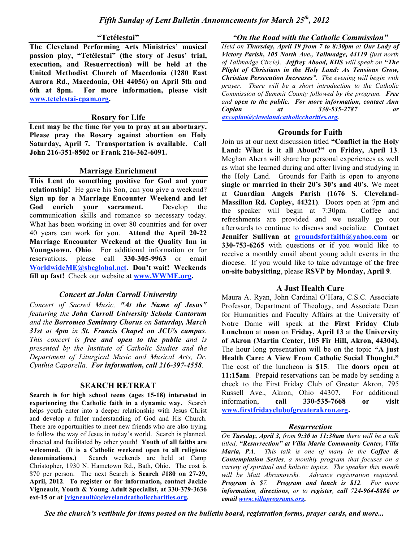#### **"Tetélestai"**

**The Cleveland Performing Arts Ministries' musical passion play, "Tetélestai" (the story of Jesus' trial, execution, and Resuerrection) will be held at the United Methodist Church of Macedonia (1280 East Aurora Rd., Macedonia, OH 44056) on April 5th and 6th at 8pm. For more information, please visit www.tetelestai-cpam.org.**

#### **Rosary for Life**

**Lent may be the time for you to pray at an abortuary. Please pray the Rosary against abortion on Holy Saturday, April 7. Transportation is available. Call John 216-351-8502 or Frank 216-362-6091.**

## **Marriage Enrichment**

**This Lent do something positive for God and your relationship!** He gave his Son, can you give a weekend? **Sign up for a Marriage Encounter Weekend and let God enrich your sacrament.** Develop the communication skills and romance so necessary today. What has been working in over 80 countries and for over 40 years can work for you. **Attend the April 20-22 Marriage Encounter Weekend at the Quality Inn in Youngstown, Ohio**. For additional information or for reservations, please call **330-305-9963** or email **WorldwideME@sbcglobal.net. Don't wait! Weekends fill up fast!** Check our website at **www.WWME.org.**

## *Concert at John Carroll University*

*Concert of Sacred Music, "At the Name of Jesus" featuring the John Carroll University Schola Cantorum and the Borromeo Seminary Chorus on Saturday, March 31st at 4pm in St. Francis Chapel on JCU's campus. This concert is free and open to the public and is presented by the Institute of Catholic Studies and the Department of Liturgical Music and Musical Arts, Dr. Cynthia Caporella. For information, call 216-397-4558.*

# **SEARCH RETREAT**

**Search is for high school teens (ages 15-18) interested in experiencing the Catholic faith in a dynamic way.** Search helps youth enter into a deeper relationship with Jesus Christ and develop a fuller understanding of God and His Church. There are opportunities to meet new friends who are also trying to follow the way of Jesus in today's world. Search is planned, directed and facilitated by other youth! **Youth of all faiths are welcomed. (It is a Catholic weekend open to all religious denominations.)** Search weekends are held at Camp Christopher, 1930 N. Hametown Rd., Bath, Ohio. The cost is \$70 per person. The next Search is **Search #180 on 27-29, April, 2012**. **To register or for information, contact Jackie Vigneault, Youth & Young Adult Specialist, at 330-379-3636 ext-15 or at jvigneault@clevelandcatholiccharities.org.**

*"On the Road with the Catholic Commission"*

*Held on Thursday, April 19 from 7 to 8:30pm at Our Lady of Victory Parish, 105 North Ave., Tallmadge, 44119 (just north of Tallmadge Circle). Jeffrey Abood, KHS will speak on "The Plight of Christians in the Holy Land: As Tensions Grow, Christian Persecution Increases". The evening will begin with prayer. There will be a short introduction to the Catholic Commission of Summit County followed by the program. Free and open to the public. For more information, contact Ann Coplan at 330-535-2787 or axcoplan@clevelandcatholiccharities.org.*

## **Grounds for Faith**

Join us at our next discussion titled **"Conflict in the Holy Land: What is it all About?"** on **Friday, April 13**. Meghan Ahern will share her personal experiences as well as what she learned during and after living and studying in the Holy Land. Grounds for Faith is open to anyone **single or married in their 20's 30's and 40's**. We meet at **Guardian Angels Parish (1676 S. Cleveland-Massillon Rd. Copley, 44321)**. Doors open at 7pm and the speaker will begin at 7:30pm. Coffee and refreshments are provided and we usually go out afterwards to continue to discuss and socialize. **Contact Jennifer Sullivan at groundsforfaith@yahoo.com or 330-753-6265** with questions or if you would like to receive a monthly email about young adult events in the diocese. If you would like to take advantage of **the free on-site babysitting**, please **RSVP by Monday, April 9**.

## **A Just Health Care**

Maura A. Ryan, John Cardinal O'Hara, C.S.C. Associate Professor, Department of Theology, and Associate Dean for Humanities and Faculty Affairs at the University of Notre Dame will speak at the **First Friday Club Luncheon** at **noon** on **Friday, April 13** at **the University of Akron (Martin Center, 105 Fir Hill, Akron, 44304).** The hour long presentation will be on the topic **"A just Health Care: A View From Catholic Social Thought."** The cost of the luncheon is **\$15**. The **doors open at 11:15am**. Prepaid reservations can be made by sending a check to the First Friday Club of Greater Akron, 795 Russell Ave., Akron, Ohio 44307. For additional information, **call 330-535-7668 or visit www.firstfridayclubofgreaterakron.org.**

## *Resurrection*

*On Tuesday, April 3, from 9:30 to 11:30am there will be a talk titled, "Resurrection" at Villa Maria Community Center, Villa Maria, PA. This talk is one of many in the Coffee & Contemplation Series, a monthly program that focuses on a variety of spiritual and holistic topics. The speaker this month will be Matt Abramowski. Advance registration required. Program is \$7. Program and lunch is \$12. For more information, directions, or to register, call 724-964-8886 or email www.villaprograms.org.*

*See the church's vestibule for items posted on the bulletin board, registration forms, prayer cards, and more...*